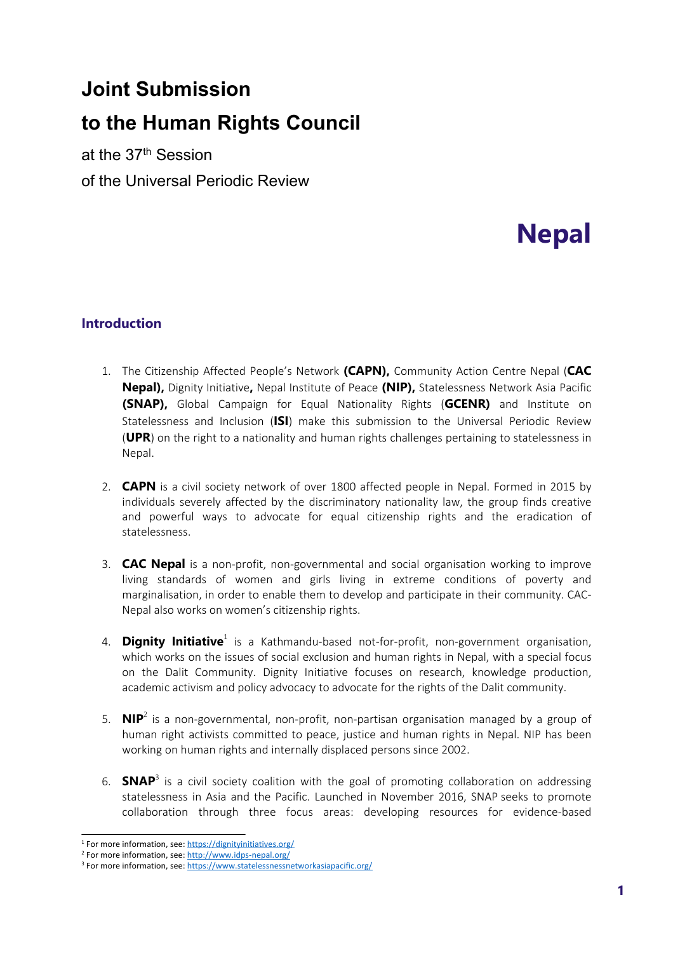# **Joint Submission**

# **to the Human Rights Council**

at the 37th Session of the Universal Periodic Review

# **Nepal**

# **Introduction**

- 1. The Citizenship Affected People'<sup>s</sup> Network **(CAPN),** Community Action Centre Nepal (**CAC Nepal),** Dignity Initiative**,** Nepal Institute of Peace **(NIP),** Statelessness Network Asia Pacific **(SNAP),** Global Campaign for Equal Nationality Rights (**GCENR)** and Institute on Statelessness and Inclusion (**ISI**) make this submission to the Universal Periodic Review (**UPR**) on the right to <sup>a</sup> nationality and human rights challenges pertaining to statelessness in Nepal.
- 2. **CAPN** is <sup>a</sup> civil society network of over 1800 affected people in Nepal. Formed in 2015 by individuals severely affected by the discriminatory nationality law, the group finds creative and powerful ways to advocate for equal citizenship rights and the eradication of statelessness.
- 3. **CAC Nepal** is <sup>a</sup> non-profit, non-governmental and social organisation working to improve living standards of women and girls living in extreme conditions of poverty and marginalisation, in order to enable them to develop and participate in their community. CAC-Nepal also works on women'<sup>s</sup> citizenship rights.
- 4. **Dignity Initiative**<sup>1</sup> is a Kathmandu-based not-for-profit, non-government organisation, which works on the issues of social exclusion and human rights in Nepal, with <sup>a</sup> special focus on the Dalit Community. Dignity Initiative focuses on research, knowledge production, academic activism and policy advocacy to advocate for the rights of the Dalit community.
- 5. **NIP**<sup>2</sup> is a non-governmental, non-profit, non-partisan organisation managed by a group of human right activists committed to peace, justice and human rights in Nepal. NIP has been working on human rights and internally displaced persons since 2002.
- 6. **SNAP**<sup>3</sup> is a civil society coalition with the goal of promoting collaboration on addressing statelessness in Asia and the Pacific. Launched in November 2016, SNAP seeks to promote collaboration through three focus areas: developing resources for evidence-based

<sup>&</sup>lt;sup>1</sup> For more information, see: <https://dignityinitiatives.org/>

<sup>2</sup> For more information, see: [http://www.idps-nepal.org/](https://l.facebook.com/l.php?u=http%3A%2F%2Fwww.idps-nepal.org%2F%3Ffbclid%3DIwAR3wnU5VtzLuZH8Rut3tUQXXPFdnYqiGloF2u9-7PlMXruJ2bC4OqnOYcfE&h=AT0sLYZSFa8vLVb-wwmUiJsX4EvatFU9c-dV1D03TBaAnCAiZnF25COJPrj9tRJwbVQt5ywR0aTIMAwroPGWTrcHMpobzsMcf4SjET7ayXmx1QPTr9hsGwTw4oCJH_vRZ0Q)

<sup>&</sup>lt;sup>3</sup> For more information, see: <https://www.statelessnessnetworkasiapacific.org/>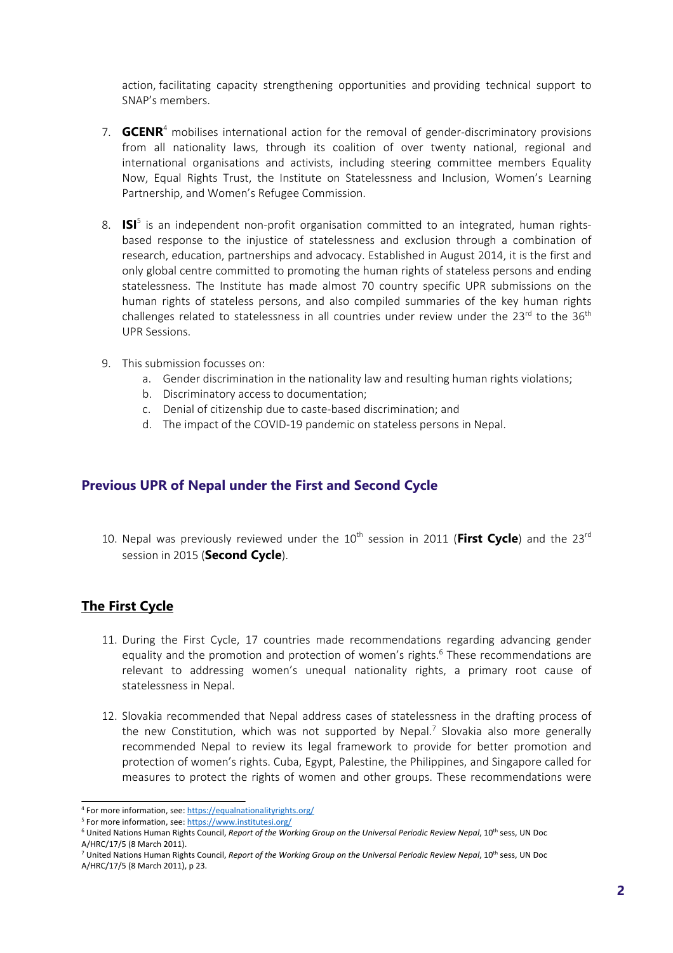action, facilitating capacity strengthening opportunities and providing technical support to SNAP'<sup>s</sup> members.

- 7. **GCENR**<sup>4</sup> mobilises international action for the removal of gender-discriminatory provisions from all nationality laws, through its coalition of over twenty national, regional and international organisations and activists, including steering committee members Equality Now, Equal Rights Trust, the Institute on Statelessness and Inclusion, Women'<sup>s</sup> Learning Partnership, and Women'<sup>s</sup> Refugee Commission.
- 8. **ISI**<sup>5</sup> is an independent non-profit organisation committed to an integrated, human rightsbased response to the injustice of statelessness and exclusion through <sup>a</sup> combination of research, education, partnerships and advocacy. Established in August 2014, it is the first and only global centre committed to promoting the human rights of stateless persons and ending statelessness. The Institute has made almost 70 country specific UPR submissions on the human rights of stateless persons, and also compiled summaries of the key human rights challenges related to statelessness in all countries under review under the 23<sup>rd</sup> to the 36<sup>th</sup> UPR Sessions.
- 9. This submission focusses on:
	- a. Gender discrimination in the nationality law and resulting human rights violations;
	- b. Discriminatory access to documentation;
	- c. Denial of citizenship due to caste-based discrimination; and
	- d. The impact of the COVID-19 pandemic on stateless persons in Nepal.

#### **Previous UPR of Nepal under the First and Second Cycle**

10. Nepal was previously reviewed under the 10<sup>th</sup> session in 2011 (First Cycle) and the 23<sup>rd</sup> session in <sup>2015</sup> (**Second Cycle**).

#### **The First Cycle**

- 11. During the First Cycle, 17 countries made recommendations regarding advancing gender equality and the promotion and protection of women's rights.<sup>6</sup> These recommendations are relevant to addressing women'<sup>s</sup> unequal nationality rights, <sup>a</sup> primary root cause of statelessness in Nepal.
- 12. Slovakia recommended that Nepal address cases of statelessness in the drafting process of the new Constitution, which was not supported by Nepal.<sup>7</sup> Slovakia also more generally recommended Nepal to review its legal framework to provide for better promotion and protection of women'<sup>s</sup> rights. Cuba, Egypt, Palestine, the Philippines, and Singapore called for measures to protect the rights of women and other groups. These recommendations were

<sup>4</sup> For more information, see: <https://equalnationalityrights.org/>

<sup>&</sup>lt;sup>5</sup> For more information, see: <https://www.institutesi.org/>

<sup>6</sup> United Nations Human Rights Council, *Report of the Working Group on the Universal Periodic Review Nepal*, <sup>10</sup>th sess, UN Doc A/HRC/17/5 (8 March 2011).

<sup>7</sup> United Nations Human Rights Council, *Report of the Working Group on the Universal Periodic Review Nepal*, <sup>10</sup>th sess, UN Doc A/HRC/17/5 (8 March 2011), p 23.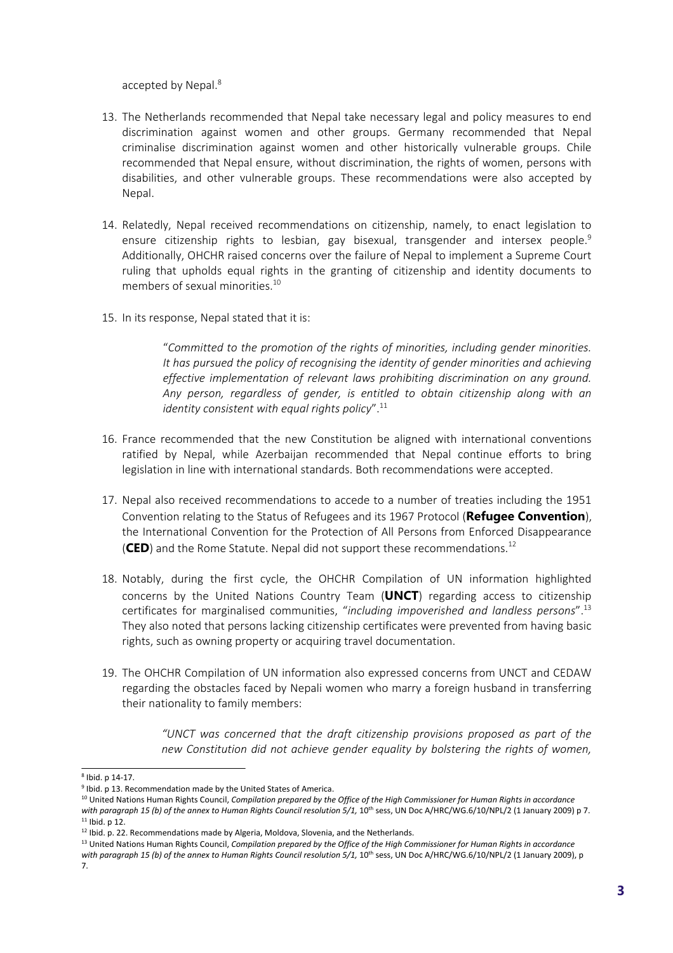accepted by Nepal. 8

- 13. The Netherlands recommended that Nepal take necessary legal and policy measures to end discrimination against women and other groups. Germany recommended that Nepal criminalise discrimination against women and other historically vulnerable groups. Chile recommended that Nepal ensure, without discrimination, the rights of women, persons with disabilities, and other vulnerable groups. These recommendations were also accepted by Nepal.
- 14. Relatedly, Nepal received recommendations on citizenship, namely, to enact legislation to ensure citizenship rights to lesbian, gay bisexual, transgender and intersex people. 9 Additionally, OHCHR raised concerns over the failure of Nepal to implement <sup>a</sup> Supreme Court ruling that upholds equal rights in the granting of citizenship and identity documents to members of sexual minorities. 10
- 15. In its response, Nepal stated that it is:

"*Committed to the promotion of the rights of minorities, including gender minorities. It has pursued the policy of recognising the identity of gender minorities and achieving effective implementation of relevant laws prohibiting discrimination on any ground. Any person, regardless of gender, is entitled to obtain citizenship along with an identity consistent with equal rights policy*". 11

- 16. France recommended that the new Constitution be aligned with international conventions ratified by Nepal, while Azerbaijan recommended that Nepal continue efforts to bring legislation in line with international standards. Both recommendations were accepted.
- 17. Nepal also received recommendations to accede to <sup>a</sup> number of treaties including the 1951 Convention relating to the Status of Refugees and its <sup>1967</sup> Protocol (**Refugee Convention**), the International Convention for the Protection of All Persons from Enforced Disappearance (**CED**) and the Rome Statute. Nepal did not support these recommendations.<sup>12</sup>
- 18. Notably, during the first cycle, the OHCHR Compilation of UN information highlighted concerns by the United Nations Country Team (**UNCT**) regarding access to citizenship certificates for marginalised communities, "*including impoverished and landless persons*". 13 They also noted that persons lacking citizenship certificates were prevented from having basic rights, such as owning property or acquiring travel documentation.
- 19. The OHCHR Compilation of UN information also expressed concerns from UNCT and CEDAW regarding the obstacles faced by Nepali women who marry <sup>a</sup> foreign husband in transferring their nationality to family members:

*"UNCT was concerned that the draft citizenship provisions proposed as part of the new Constitution did not achieve gender equality by bolstering the rights of women,*

<sup>8</sup> Ibid. p 14-17.

<sup>&</sup>lt;sup>9</sup> Ibid. p 13. Recommendation made by the United States of America.

 $^{10}$  United Nations Human Rights Council, *Compilation prepared by the Office of the High Commissioner for Human Rights in accordance* 

with paragraph 15 (b) of the annex to Human Rights Council resolution 5/1, 10<sup>th</sup> sess, UN Doc A/HRC/WG.6/10/NPL/2 (1 January 2009) p 7.  $11$  Ibid. p 12.

 $^{12}$  Ibid. p. 22. Recommendations made by Algeria, Moldova, Slovenia, and the Netherlands.

 $^{13}$  United Nations Human Rights Council, Compilation prepared by the Office of the High Commissioner for Human Rights in accordance *with paragraph <sup>15</sup> (b) of the annex to Human Rights Council resolution 5/1,* <sup>10</sup>th sess, UN Doc A/HRC/WG.6/10/NPL/2 (1 January 2009), p 7.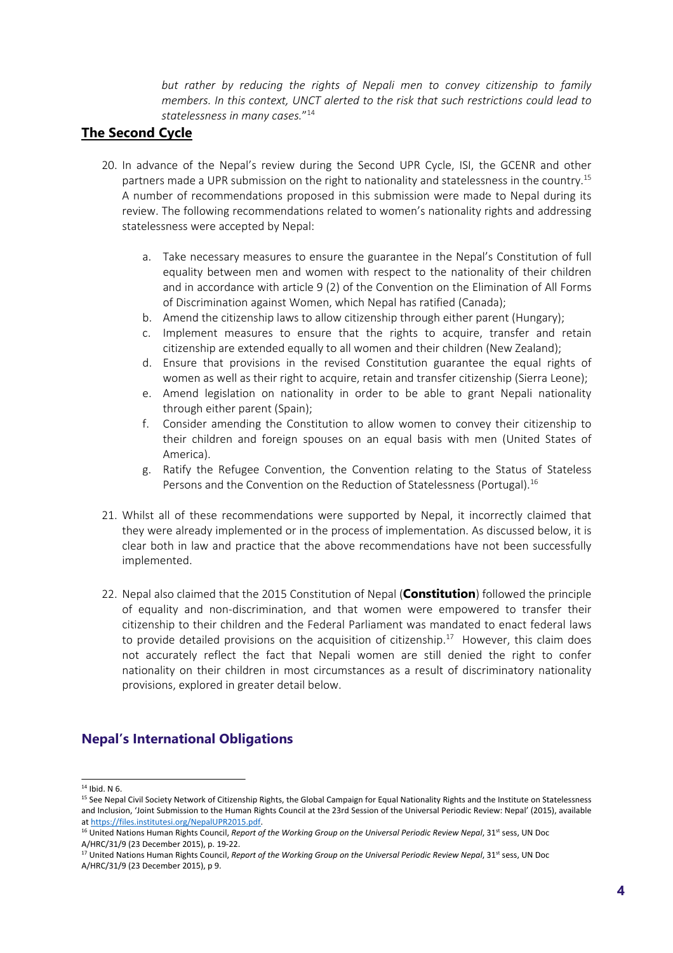*but rather by reducing the rights of Nepali men to convey citizenship to family members. In this context, UNCT alerted to the risk that such restrictions could lead to statelessness in many cases.*" 14

### **The Second Cycle**

- 20. In advance of the Nepal'<sup>s</sup> review during the Second UPR Cycle, ISI, the GCENR and other partners made a UPR submission on the right to nationality and statelessness in the country.<sup>15</sup> A number of recommendations proposed in this submission were made to Nepal during its review. The following recommendations related to women'<sup>s</sup> nationality rights and addressing statelessness were accepted by Nepal:
	- a. Take necessary measures to ensure the guarantee in the Nepal'<sup>s</sup> Constitution of full equality between men and women with respect to the nationality of their children and in accordance with article 9 (2) of the Convention on the Elimination of All Forms of Discrimination against Women, which Nepal has ratified (Canada);
	- b. Amend the citizenship laws to allow citizenship through either parent (Hungary);
	- c. Implement measures to ensure that the rights to acquire, transfer and retain citizenship are extended equally to all women and their children (New Zealand);
	- d. Ensure that provisions in the revised Constitution guarantee the equal rights of women as well as their right to acquire, retain and transfer citizenship (Sierra Leone);
	- e. Amend legislation on nationality in order to be able to grant Nepali nationality through either parent (Spain);
	- f. Consider amending the Constitution to allow women to convey their citizenship to their children and foreign spouses on an equal basis with men (United States of America).
	- g. Ratify the Refugee Convention, the Convention relating to the Status of Stateless Persons and the Convention on the Reduction of Statelessness (Portugal).<sup>16</sup>
- 21. Whilst all of these recommendations were supported by Nepal, it incorrectly claimed that they were already implemented or in the process of implementation. As discussed below, it is clear both in law and practice that the above recommendations have not been successfully implemented.
- 22. Nepal also claimed that the 2015 Constitution of Nepal (**Constitution**) followed the principle of equality and non-discrimination, and that women were empowered to transfer their citizenship to their children and the Federal Parliament was mandated to enact federal laws to provide detailed provisions on the acquisition of citizenship.<sup>17</sup> However, this claim does not accurately reflect the fact that Nepali women are still denied the right to confer nationality on their children in most circumstances as <sup>a</sup> result of discriminatory nationality provisions, explored in greater detail below.

# **Nepal'<sup>s</sup> International Obligations**

 $14$  Ibid. N 6.

<sup>&</sup>lt;sup>15</sup> See Nepal Civil Society Network of Citizenship Rights, the Global Campaign for Equal Nationality Rights and the Institute on Statelessness and Inclusion, 'Joint Submission to the Human Rights Council at the 23rd Session of the Universal Periodic Review: Nepal' (2015), available at <https://files.institutesi.org/NepalUPR2015.pdf>.

<sup>16</sup> United Nations Human Rights Council, *Report of the Working Group on the Universal Periodic Review Nepal*, 31st sess, UN Doc A/HRC/31/9 (23 December 2015), p. 19-22.

<sup>17</sup> United Nations Human Rights Council, *Report of the Working Group on the Universal Periodic Review Nepal*, 31st sess, UN Doc A/HRC/31/9 (23 December 2015), p 9.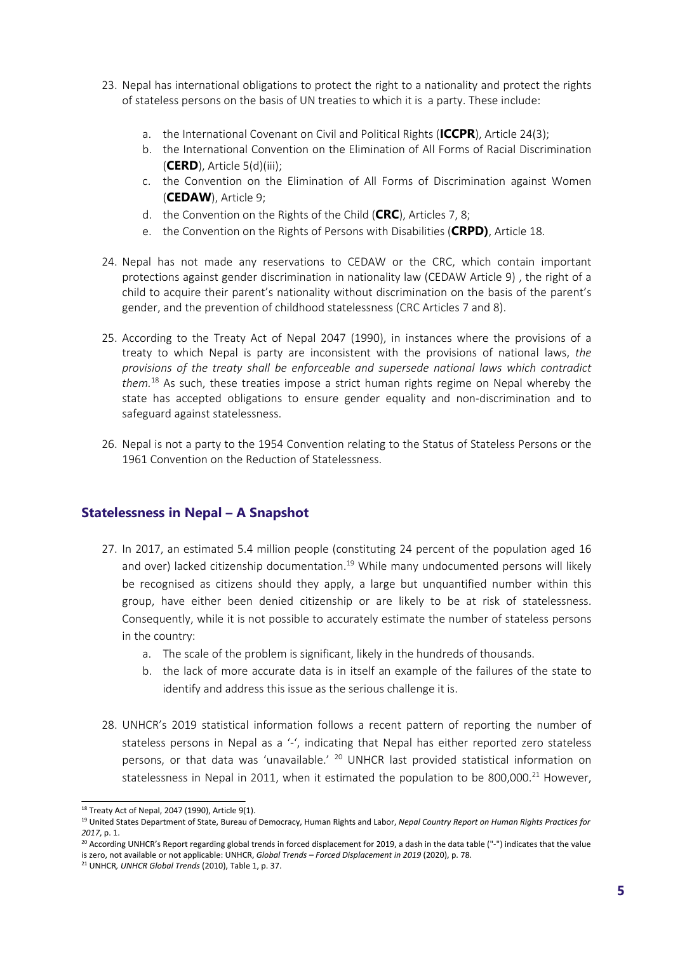- 23. Nepal has international obligations to protect the right to <sup>a</sup> nationality and protect the rights of stateless persons on the basis of UN treaties to which it is <sup>a</sup> party. These include:
	- a. the International Covenant on Civil and Political Rights (**ICCPR**), Article 24(3);
	- b. the International Convention on the Elimination of All Forms of Racial Discrimination (**CERD**), Article 5(d)(iii);
	- c. the Convention on the Elimination of All Forms of Discrimination against Women (**CEDAW**), Article 9;
	- d. the Convention on the Rights of the Child (**CRC**), Articles 7, 8;
	- e. the Convention on the Rights of Persons with Disabilities (**CRPD)**, Article 18.
- 24. Nepal has not made any reservations to CEDAW or the CRC, which contain important protections against gender discrimination in nationality law (CEDAW Article 9) , the right of <sup>a</sup> child to acquire their parent'<sup>s</sup> nationality without discrimination on the basis of the parent'<sup>s</sup> gender, and the prevention of childhood statelessness (CRC Articles 7 and 8).
- 25. According to the Treaty Act of Nepal 2047 (1990), in instances where the provisions of <sup>a</sup> treaty to which Nepal is party are inconsistent with the provisions of national laws, *the provisions of the treaty shall be enforceable and supersede national laws which contradict them.* 18 As such, these treaties impose <sup>a</sup> strict human rights regime on Nepal whereby the state has accepted obligations to ensure gender equality and non-discrimination and to safeguard against statelessness.
- 26. Nepal is not <sup>a</sup> party to the 1954 Convention relating to the Status of Stateless Persons or the 1961 Convention on the Reduction of Statelessness.

#### **Statelessness in Nepal – A Snapshot**

- 27. In 2017, an estimated 5.4 million people (constituting 24 percent of the population aged 16 and over) lacked citizenship documentation.<sup>19</sup> While many undocumented persons will likely be recognised as citizens should they apply, <sup>a</sup> large but unquantified number within this group, have either been denied citizenship or are likely to be at risk of statelessness. Consequently, while it is not possible to accurately estimate the number of stateless persons in the country:
	- a. The scale of the problem is significant, likely in the hundreds of thousands.
	- b. the lack of more accurate data is in itself an example of the failures of the state to identify and address this issue as the serious challenge it is.
- 28. UNHCR'<sup>s</sup> 2019 statistical information follows <sup>a</sup> recent pattern of reporting the number of stateless persons in Nepal as a '-', indicating that Nepal has either reported zero stateless persons, or that data was 'unavailable.' <sup>20</sup> UNHCR last provided statistical information on statelessness in Nepal in 2011, when it estimated the population to be 800,000. $^{21}$  However,

 $^{18}$  Treaty Act of Nepal, 2047 (1990), Article 9(1).

<sup>19</sup> United States Department of State, Bureau of Democracy, Human Rights and Labor, *Nepal Country Report on Human Rights Practices for 2017*, p. 1.

<sup>&</sup>lt;sup>20</sup> According UNHCR's Report regarding global trends in forced displacement for 2019, a dash in the data table ("-") indicates that the value is zero, not available or not applicable: UNHCR, *Global Trends – Forced Displacement in 2019* (2020), p. 78.

<sup>21</sup> UNHCR*, UNHCR Global Trends* (2010), Table 1, p. 37.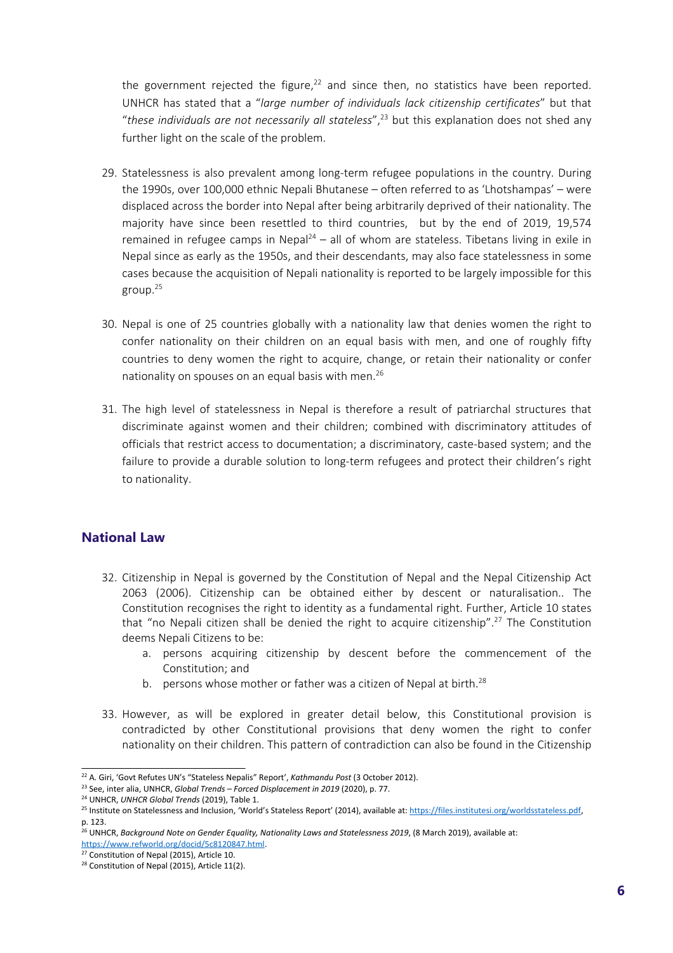the government rejected the figure,<sup>22</sup> and since then, no statistics have been reported. UNHCR has stated that <sup>a</sup> "*large number of individuals lack citizenship certificates*" but that "*these individuals are not necessarily all stateless*", 23 but this explanation does not shed any further light on the scale of the problem.

- 29. Statelessness is also prevalent among long-term refugee populations in the country. During the 1990s, over 100,000 ethnic Nepali Bhutanese – often referred to as 'Lhotshampas' – were displaced across the border into Nepal after being arbitrarily deprived of their nationality. The majority have since been resettled to third countries, but by the end of 2019, 19,574 remained in refugee camps in Nepal<sup>24</sup> – all of whom are stateless. Tibetans living in exile in Nepal since as early as the 1950s, and their descendants, may also face statelessness in some cases because the acquisition of Nepali nationality is reported to be largely impossible for this group. 25
- 30. Nepal is one of 25 countries globally with <sup>a</sup> nationality law that denies women the right to confer nationality on their children on an equal basis with men, and one of roughly fifty countries to deny women the right to acquire, change, or retain their nationality or confer nationality on spouses on an equal basis with men. 26
- 31. The high level of statelessness in Nepal is therefore <sup>a</sup> result of patriarchal structures that discriminate against women and their children; combined with discriminatory attitudes of officials that restrict access to documentation; <sup>a</sup> discriminatory, caste-based system; and the failure to provide <sup>a</sup> durable solution to long-term refugees and protect their children'<sup>s</sup> right to nationality.

#### **National Law**

- 32. Citizenship in Nepal is governed by the Constitution of Nepal and the Nepal Citizenship Act 2063 (2006). Citizenship can be obtained either by descent or naturalisation.. The Constitution recognises the right to identity as <sup>a</sup> fundamental right. Further, Article 10 states that "no Nepali citizen shall be denied the right to acquire citizenship".<sup>27</sup> The Constitution deems Nepali Citizens to be:
	- a. persons acquiring citizenship by descent before the commencement of the Constitution; and
	- b. persons whose mother or father was a citizen of Nepal at birth.<sup>28</sup>
- 33. However, as will be explored in greater detail below, this Constitutional provision is contradicted by other Constitutional provisions that deny women the right to confer nationality on their children. This pattern of contradiction can also be found in the Citizenship

<sup>22</sup> A. Giri, 'Govt Refutes UN'<sup>s</sup> "Stateless Nepalis" Report', *Kathmandu Post* (3 October 2012).

<sup>23</sup> See, inter alia, UNHCR, *Global Trends – Forced Displacement in 2019* (2020), p. 77.

<sup>24</sup> UNHCR, *UNHCR Global Trends* (2019), Table 1.

<sup>&</sup>lt;sup>25</sup> Institute on Statelessness and Inclusion, 'World's Stateless Report' (2014), available at: [https://files.institutesi.org/worldsstateless.pdf,](https://files.institutesi.org/worldsstateless.pdf) p. 123.

<sup>26</sup> UNHCR, *Background Note on Gender Equality, Nationality Laws and Statelessness 2019*, (8 March 2019), available at: <https://www.refworld.org/docid/5c8120847.html>.

<sup>&</sup>lt;sup>27</sup> Constitution of Nepal (2015), Article 10.

<sup>&</sup>lt;sup>28</sup> Constitution of Nepal (2015), Article 11(2).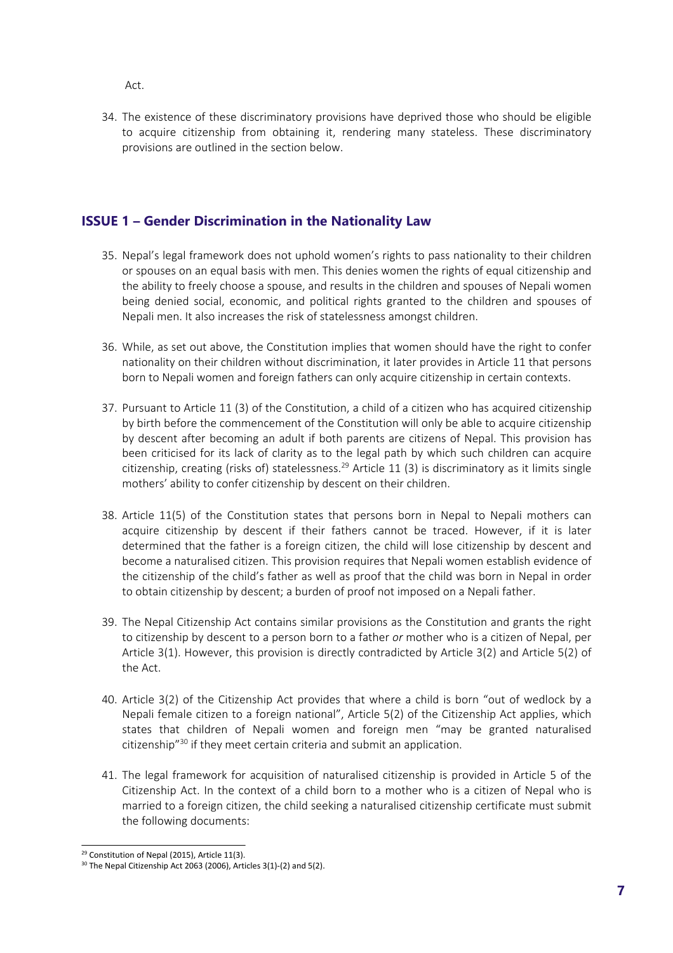Act.

34. The existence of these discriminatory provisions have deprived those who should be eligible to acquire citizenship from obtaining it, rendering many stateless. These discriminatory provisions are outlined in the section below.

# **ISSUE 1 – Gender Discrimination in the Nationality Law**

- 35. Nepal'<sup>s</sup> legal framework does not uphold women'<sup>s</sup> rights to pass nationality to their children or spouses on an equal basis with men. This denies women the rights of equal citizenship and the ability to freely choose <sup>a</sup> spouse, and results in the children and spouses of Nepali women being denied social, economic, and political rights granted to the children and spouses of Nepali men. It also increases the risk of statelessness amongst children.
- 36. While, as set out above, the Constitution implies that women should have the right to confer nationality on their children without discrimination, it later provides in Article 11 that persons born to Nepali women and foreign fathers can only acquire citizenship in certain contexts.
- 37. Pursuant to Article 11 (3) of the Constitution, <sup>a</sup> child of <sup>a</sup> citizen who has acquired citizenship by birth before the commencement of the Constitution will only be able to acquire citizenship by descent after becoming an adult if both parents are citizens of Nepal. This provision has been criticised for its lack of clarity as to the legal path by which such children can acquire citizenship, creating (risks of) statelessness.<sup>29</sup> Article 11 (3) is discriminatory as it limits single mothers' ability to confer citizenship by descent on their children.
- 38. Article 11(5) of the Constitution states that persons born in Nepal to Nepali mothers can acquire citizenship by descent if their fathers cannot be traced. However, if it is later determined that the father is <sup>a</sup> foreign citizen, the child will lose citizenship by descent and become <sup>a</sup> naturalised citizen. This provision requires that Nepali women establish evidence of the citizenship of the child'<sup>s</sup> father as well as proof that the child was born in Nepal in order to obtain citizenship by descent; <sup>a</sup> burden of proof not imposed on <sup>a</sup> Nepali father.
- 39. The Nepal Citizenship Act contains similar provisions as the Constitution and grants the right to citizenship by descent to <sup>a</sup> person born to <sup>a</sup> father *or* mother who is <sup>a</sup> citizen of Nepal, per Article 3(1). However, this provision is directly contradicted by Article 3(2) and Article 5(2) of the Act.
- 40. Article 3(2) of the Citizenship Act provides that where <sup>a</sup> child is born "out of wedlock by <sup>a</sup> Nepali female citizen to <sup>a</sup> foreign national", Article 5(2) of the Citizenship Act applies, which states that children of Nepali women and foreign men "may be granted naturalised citizenship"<sup>30</sup> if they meet certain criteria and submit an application.
- 41. The legal framework for acquisition of naturalised citizenship is provided in Article 5 of the Citizenship Act. In the context of <sup>a</sup> child born to <sup>a</sup> mother who is <sup>a</sup> citizen of Nepal who is married to <sup>a</sup> foreign citizen, the child seeking <sup>a</sup> naturalised citizenship certificate must submit the following documents:

<sup>&</sup>lt;sup>29</sup> Constitution of Nepal (2015), Article 11(3).

 $30$  The Nepal Citizenship Act 2063 (2006), Articles 3(1)-(2) and 5(2).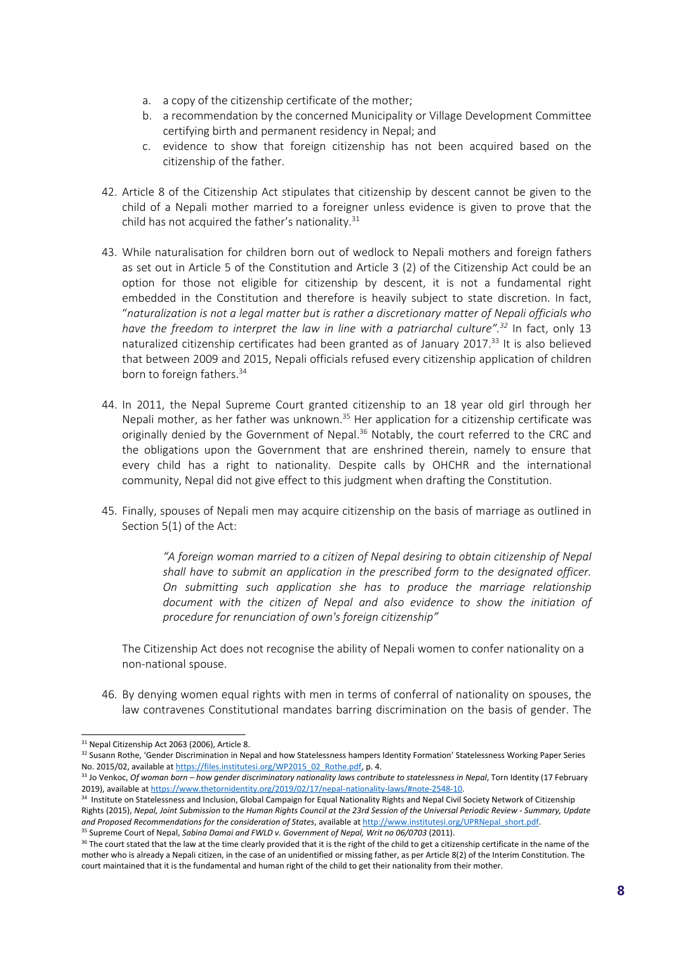- a. <sup>a</sup> copy of the citizenship certificate of the mother;
- b. <sup>a</sup> recommendation by the concerned Municipality or Village Development Committee certifying birth and permanent residency in Nepal; and
- c. evidence to show that foreign citizenship has not been acquired based on the citizenship of the father.
- 42. Article 8 of the Citizenship Act stipulates that citizenship by descent cannot be given to the child of <sup>a</sup> Nepali mother married to <sup>a</sup> foreigner unless evidence is given to prove that the child has not acquired the father's nationality.<sup>31</sup>
- 43. While naturalisation for children born out of wedlock to Nepali mothers and foreign fathers as set out in Article 5 of the Constitution and Article 3 (2) of the Citizenship Act could be an option for those not eligible for citizenship by descent, it is not <sup>a</sup> fundamental right embedded in the Constitution and therefore is heavily subject to state discretion. In fact, "*naturalization is not <sup>a</sup> legal matter but is rather <sup>a</sup> discretionary matter of Nepali officials who have the freedom to interpret the law in line with <sup>a</sup> patriarchal culture". 32* In fact, only 13 naturalized citizenship certificates had been granted as of January 2017.<sup>33</sup> It is also believed that between 2009 and 2015, Nepali officials refused every citizenship application of children born to foreign fathers. 34
- 44. In 2011, the Nepal Supreme Court granted citizenship to an 18 year old girl through her Nepali mother, as her father was unknown.<sup>35</sup> Her application for a citizenship certificate was originally denied by the Government of Nepal.<sup>36</sup> Notably, the court referred to the CRC and the obligations upon the Government that are enshrined therein, namely to ensure that every child has <sup>a</sup> right to nationality. Despite calls by OHCHR and the international community, Nepal did not give effect to this judgment when drafting the Constitution.
- 45. Finally, spouses of Nepali men may acquire citizenship on the basis of marriage as outlined in Section 5(1) of the Act:

*"A foreign woman married to <sup>a</sup> citizen of Nepal desiring to obtain citizenship of Nepal shall have to submit an application in the prescribed form to the designated officer. On submitting such application she has to produce the marriage relationship document with the citizen of Nepal and also evidence to show the initiation of procedure for renunciation of own's foreign citizenship"*

The Citizenship Act does not recognise the ability of Nepali women to confer nationality on <sup>a</sup> non-national spouse.

46. By denying women equal rights with men in terms of conferral of nationality on spouses, the law contravenes Constitutional mandates barring discrimination on the basis of gender. The

<sup>&</sup>lt;sup>31</sup> Nepal Citizenship Act 2063 (2006), Article 8.

<sup>&</sup>lt;sup>32</sup> Susann Rothe, 'Gender Discrimination in Nepal and how Statelessness hampers Identity Formation' Statelessness Working Paper Series No. 2015/02, available at [https://files.institutesi.org/WP2015\\_02\\_Rothe.pdf,](https://files.institutesi.org/WP2015_02_Rothe.pdf) p. 4.

<sup>&</sup>lt;sup>33</sup> Jo Venkoc, Of woman born — how gender discriminatory nationality laws contribute to statelessness in Nepal, Torn Identity (17 February 2019), available at <https://www.thetornidentity.org/2019/02/17/nepal-nationality-laws/#note-2548-10>.

<sup>&</sup>lt;sup>34</sup> Institute on Statelessness and Inclusion, Global Campaign for Equal Nationality Rights and Nepal Civil Society Network of Citizenship Rights (2015), Nepal, Joint Submission to the Human Rights Council at the 23rd Session of the Universal Periodic Review - Summary, Update *and Proposed Recommendations for the consideration of States*, available at [http://www.institutesi.org/UPRNepal\\_short.pdf](http://www.institutesi.org/UPRNepal_short.pdf).

<sup>35</sup> Supreme Court of Nepal, *Sabina Damai and FWLD v. Government of Nepal, Writ no 06/0703* (2011).

<sup>&</sup>lt;sup>36</sup> The court stated that the law at the time clearly provided that it is the right of the child to get a citizenship certificate in the name of the mother who is already <sup>a</sup> Nepali citizen, in the case of an unidentified or missing father, as per Article 8(2) of the Interim Constitution. The court maintained that it is the fundamental and human right of the child to get their nationality from their mother.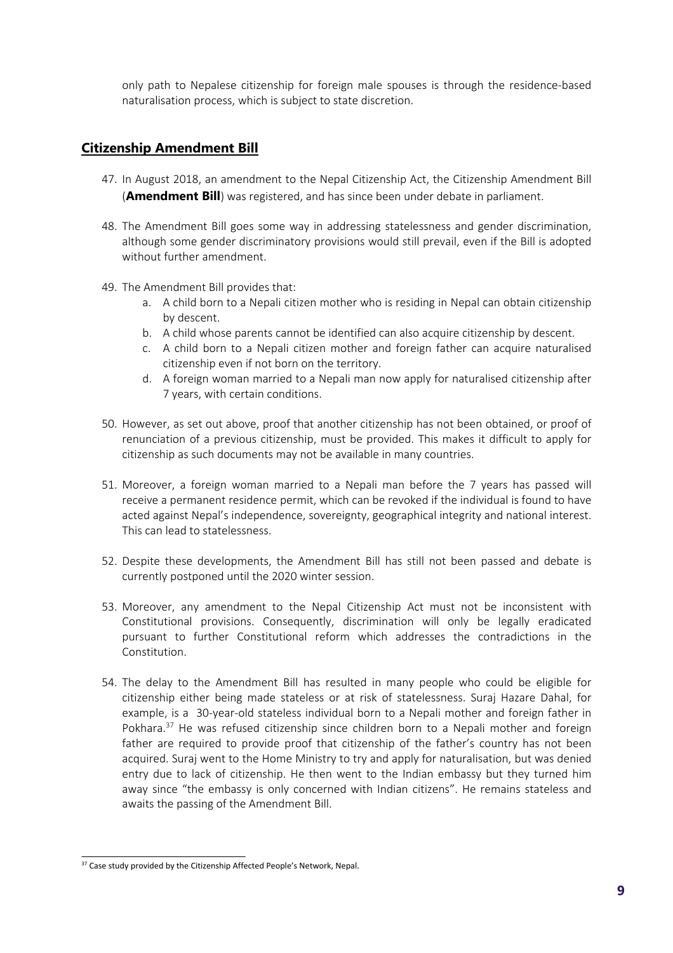only path to Nepalese citizenship for foreign male spouses is through the residence-based naturalisation process, which is subject to state discretion.

#### **Citizenship Amendment Bill**

- 47. In August 2018, an amendment to the Nepal Citizenship Act, the Citizenship Amendment Bill (**Amendment Bill**) was registered, and has since been under debate in parliament.
- 48. The Amendment Bill goes some way in addressing statelessness and gender discrimination, although some gender discriminatory provisions would still prevail, even if the Bill is adopted without further amendment.
- 49. The Amendment Bill provides that:
	- a. A child born to <sup>a</sup> Nepali citizen mother who is residing in Nepal can obtain citizenship by descent.
	- b. A child whose parents cannot be identified can also acquire citizenship by descent.
	- c. A child born to <sup>a</sup> Nepali citizen mother and foreign father can acquire naturalised citizenship even if not born on the territory.
	- d. A foreign woman married to <sup>a</sup> Nepali man now apply for naturalised citizenship after 7 years, with certain conditions.
- 50. However, as set out above, proof that another citizenship has not been obtained, or proof of renunciation of <sup>a</sup> previous citizenship, must be provided. This makes it difficult to apply for citizenship as such documents may not be available in many countries.
- 51. Moreover, <sup>a</sup> foreign woman married to <sup>a</sup> Nepali man before the 7 years has passed will receive <sup>a</sup> permanent residence permit, which can be revoked if the individual is found to have acted against Nepal'<sup>s</sup> independence, sovereignty, geographical integrity and national interest. This can lead to statelessness.
- 52. Despite these developments, the Amendment Bill has still not been passed and debate is currently postponed until the 2020 winter session.
- 53. Moreover, any amendment to the Nepal Citizenship Act must not be inconsistent with Constitutional provisions. Consequently, discrimination will only be legally eradicated pursuant to further Constitutional reform which addresses the contradictions in the Constitution.
- 54. The delay to the Amendment Bill has resulted in many people who could be eligible for citizenship either being made stateless or at risk of statelessness. Suraj Hazare Dahal, for example, is <sup>a</sup> 30-year-old stateless individual born to <sup>a</sup> Nepali mother and foreign father in Pokhara.<sup>37</sup> He was refused citizenship since children born to a Nepali mother and foreign father are required to provide proof that citizenship of the father'<sup>s</sup> country has not been acquired. Suraj went to the Home Ministry to try and apply for naturalisation, but was denied entry due to lack of citizenship. He then went to the Indian embassy but they turned him away since "the embassy is only concerned with Indian citizens". He remains stateless and awaits the passing of the Amendment Bill.

<sup>&</sup>lt;sup>37</sup> Case study provided by the Citizenship Affected People's Network, Nepal.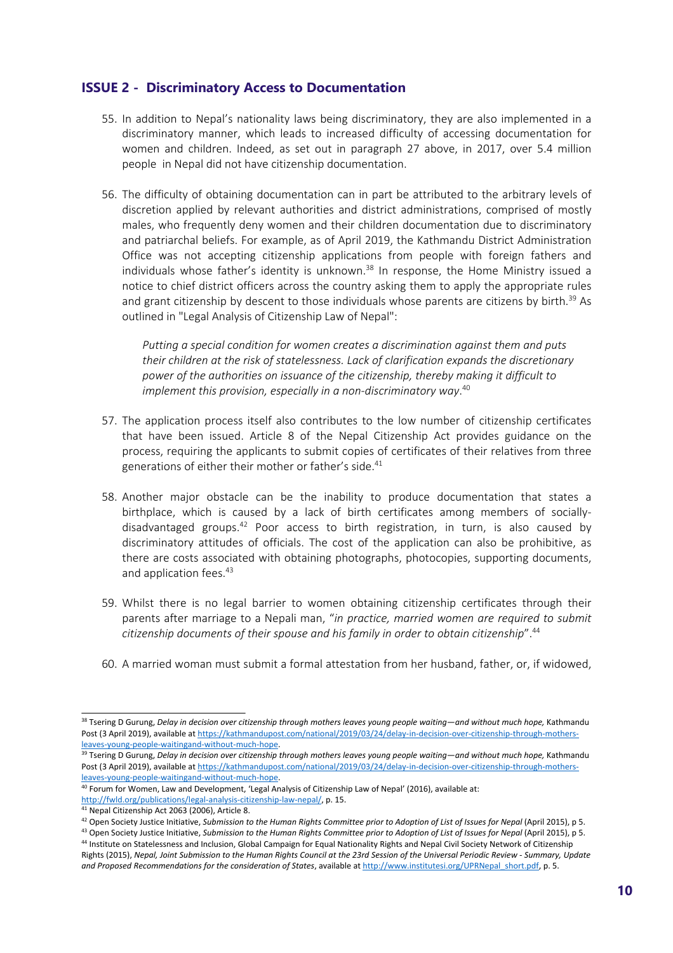#### **ISSUE 2 - Discriminatory Access to Documentation**

- 55. In addition to Nepal'<sup>s</sup> nationality laws being discriminatory, they are also implemented in <sup>a</sup> discriminatory manner, which leads to increased difficulty of accessing documentation for women and children. Indeed, as set out in paragraph 27 above, in 2017, over 5.4 million people in Nepal did not have citizenship documentation.
- 56. The difficulty of obtaining documentation can in part be attributed to the arbitrary levels of discretion applied by relevant authorities and district administrations, comprised of mostly males, who frequently deny women and their children documentation due to discriminatory and patriarchal beliefs. For example, as of April 2019, the Kathmandu District Administration Office was not accepting citizenship applications from people with foreign fathers and individuals whose father's identity is unknown.<sup>38</sup> In response, the Home Ministry issued a notice to chief district officers across the country asking them to apply the appropriate rules and grant citizenship by descent to those individuals whose parents are citizens by birth.<sup>39</sup> As outlined in "Legal Analysis of Citizenship Law of Nepal":

*Putting <sup>a</sup> special condition for women creates <sup>a</sup> discrimination against them and puts their children at the risk of statelessness. Lack of clarification expands the discretionary power of the authorities on issuance of the citizenship, thereby making it difficult to implement this provision, especially in <sup>a</sup> non-discriminatory way*. 40

- 57. The application process itself also contributes to the low number of citizenship certificates that have been issued. Article 8 of the Nepal Citizenship Act provides guidance on the process, requiring the applicants to submit copies of certificates of their relatives from three generations of either their mother or father'<sup>s</sup> side. 41
- 58. Another major obstacle can be the inability to produce documentation that states <sup>a</sup> birthplace, which is caused by <sup>a</sup> lack of birth certificates among members of sociallydisadvantaged groups.<sup>42</sup> Poor access to birth registration, in turn, is also caused by discriminatory attitudes of officials. The cost of the application can also be prohibitive, as there are costs associated with obtaining photographs, photocopies, supporting documents, and application fees.<sup>43</sup>
- 59. Whilst there is no legal barrier to women obtaining citizenship certificates through their parents after marriage to <sup>a</sup> Nepali man, "*in practice, married women are required to submit citizenship documents of their spouse and his family in order to obtain citizenship*". 44
- 60. A married woman must submit <sup>a</sup> formal attestation from her husband, father, or, if widowed,

<sup>&</sup>lt;sup>38</sup> Tsering D Gurung, Delay in decision over citizenship through mothers leaves young people waiting—and without much hope, Kathmandu Post (3 April 2019), available at [https://kathmandupost.com/national/2019/03/24/delay-in-decision-over-citizenship-through-mothers](https://kathmandupost.com/national/2019/03/24/delay-in-decision-over-citizenship-through-mothers-leaves-young-people-waitingand-without-much-hope)[leaves-young-people-waitingand-without-much-hope](https://kathmandupost.com/national/2019/03/24/delay-in-decision-over-citizenship-through-mothers-leaves-young-people-waitingand-without-much-hope).

<sup>&</sup>lt;sup>39</sup> Tsering D Gurung, *Delay in decision over citizenship through mothers leaves young people waiting—and without much hope, Kathmandu* Post (3 April 2019), available at [https://kathmandupost.com/national/2019/03/24/delay-in-decision-over-citizenship-through-mothers](https://kathmandupost.com/national/2019/03/24/delay-in-decision-over-citizenship-through-mothers-leaves-young-people-waitingand-without-much-hope)[leaves-young-people-waitingand-without-much-hope](https://kathmandupost.com/national/2019/03/24/delay-in-decision-over-citizenship-through-mothers-leaves-young-people-waitingand-without-much-hope).

<sup>&</sup>lt;sup>40</sup> Forum for Women, Law and Development, 'Legal Analysis of Citizenship Law of Nepal' (2016), available at: <http://fwld.org/publications/legal-analysis-citizenship-law-nepal/>, p. 15.

<sup>41</sup> Nepal Citizenship Act 2063 (2006), Article 8.

 $^{42}$  Open Society Justice Initiative, Submission to the Human Rights Committee prior to Adoption of List of Issues for Nepal (April 2015), p 5.

<sup>&</sup>lt;sup>43</sup> Open Society Justice Initiative, Submission to the Human Rights Committee prior to Adoption of List of Issues for Nepal (April 2015), p 5. <sup>44</sup> Institute on Statelessness and Inclusion, Global Campaign for Equal Nationality Rights and Nepal Civil Society Network of Citizenship Rights (2015), Nepal, Joint Submission to the Human Rights Council at the 23rd Session of the Universal Periodic Review - Summary, Update *and Proposed Recommendations for the consideration of States*, available at [http://www.institutesi.org/UPRNepal\\_short.pdf,](http://www.institutesi.org/UPRNepal_short.pdf) p. 5.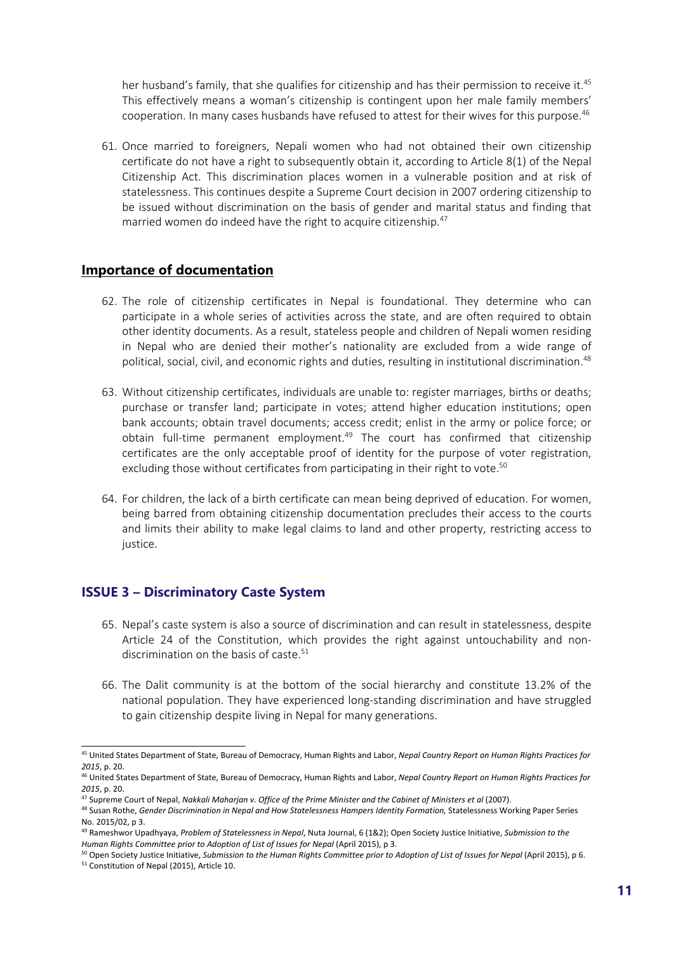her husband's family, that she qualifies for citizenship and has their permission to receive it.<sup>45</sup> This effectively means <sup>a</sup> woman'<sup>s</sup> citizenship is contingent upon her male family members' cooperation. In many cases husbands have refused to attest for their wives for this purpose. 46

61. Once married to foreigners, Nepali women who had not obtained their own citizenship certificate do not have <sup>a</sup> right to subsequently obtain it, according to Article 8(1) of the Nepal Citizenship Act. This discrimination places women in <sup>a</sup> vulnerable position and at risk of statelessness. This continues despite <sup>a</sup> Supreme Court decision in 2007 ordering citizenship to be issued without discrimination on the basis of gender and marital status and finding that married women do indeed have the right to acquire citizenship. 47

#### **Importance of documentation**

- 62. The role of citizenship certificates in Nepal is foundational. They determine who can participate in <sup>a</sup> whole series of activities across the state, and are often required to obtain other identity documents. As <sup>a</sup> result, stateless people and children of Nepali women residing in Nepal who are denied their mother'<sup>s</sup> nationality are excluded from <sup>a</sup> wide range of political, social, civil, and economic rights and duties, resulting in institutional discrimination. 48
- 63. Without citizenship certificates, individuals are unable to: register marriages, births or deaths; purchase or transfer land; participate in votes; attend higher education institutions; open bank accounts; obtain travel documents; access credit; enlist in the army or police force; or obtain full-time permanent employment.<sup>49</sup> The court has confirmed that citizenship certificates are the only acceptable proof of identity for the purpose of voter registration, excluding those without certificates from participating in their right to vote. 50
- 64. For children, the lack of <sup>a</sup> birth certificate can mean being deprived of education. For women, being barred from obtaining citizenship documentation precludes their access to the courts and limits their ability to make legal claims to land and other property, restricting access to justice.

# **ISSUE 3 – Discriminatory Caste System**

- 65. Nepal'<sup>s</sup> caste system is also <sup>a</sup> source of discrimination and can result in statelessness, despite Article 24 of the Constitution, which provides the right against untouchability and nondiscrimination on the basis of caste.<sup>51</sup>
- 66. The Dalit community is at the bottom of the social hierarchy and constitute 13.2% of the national population. They have experienced long-standing discrimination and have struggled to gain citizenship despite living in Nepal for many generations.

<sup>45</sup> United States Department of State, Bureau of Democracy, Human Rights and Labor, *Nepal Country Report on Human Rights Practices for 2015*, p. 20.

<sup>46</sup> United States Department of State, Bureau of Democracy, Human Rights and Labor, *Nepal Country Report on Human Rights Practices for 2015*, p. 20.

<sup>47</sup> Supreme Court of Nepal, *Nakkali Maharjan v. Office of the Prime Minister and the Cabinet of Ministers et al* (2007).

<sup>48</sup> Susan Rothe, *Gender Discrimination in Nepal and How Statelessness Hampers Identity Formation,* Statelessness Working Paper Series No. 2015/02, p 3.

<sup>49</sup> Rameshwor Upadhyaya, *Problem of Statelessness in Nepal*, Nuta Journal, 6 (1&2); Open Society Justice Initiative, *Submission to the Human Rights Committee prior to Adoption of List of Issues for Nepal* (April 2015), p 3.

<sup>&</sup>lt;sup>50</sup> Open Society Justice Initiative, Submission to the Human Rights Committee prior to Adoption of List of Issues for Nepal (April 2015), p 6.

<sup>51</sup> Constitution of Nepal (2015), Article 10.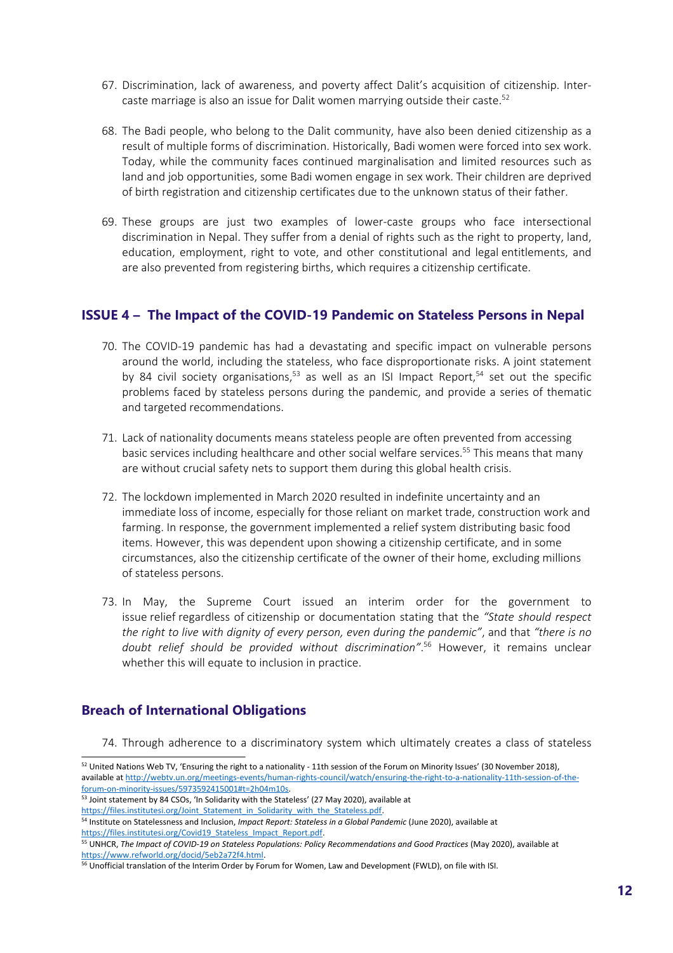- 67. Discrimination, lack of awareness, and poverty affect Dalit'<sup>s</sup> acquisition of citizenship. Intercaste marriage is also an issue for Dalit women marrying outside their caste. 52
- 68. The Badi people, who belong to the Dalit community, have also been denied citizenship as <sup>a</sup> result of multiple forms of discrimination. Historically, Badi women were forced into sex work. Today, while the community faces continued marginalisation and limited resources such as land and job opportunities, some Badi women engage in sex work. Their children are deprived of birth registration and citizenship certificates due to the unknown status of their father.
- 69. These groups are just two examples of lower-caste groups who face intersectional discrimination in Nepal. They suffer from <sup>a</sup> denial of rights such as the right to property, land, education, employment, right to vote, and other constitutional and legal entitlements, and are also prevented from registering births, which requires <sup>a</sup> citizenship certificate.

#### **ISSUE 4 – The Impact of the COVID-19 Pandemic on Stateless Persons in Nepal**

- 70. The COVID-19 pandemic has had <sup>a</sup> devastating and specific impact on vulnerable persons around the world, including the stateless, who face disproportionate risks. A joint statement by 84 civil society organisations,<sup>53</sup> as well as an ISI Impact Report,<sup>54</sup> set out the specific problems faced by stateless persons during the pandemic, and provide <sup>a</sup> series of thematic and targeted recommendations.
- 71. Lack of nationality documents means stateless people are often prevented from accessing basic services including healthcare and other social welfare services. 55 This means that many are without crucial safety nets to support them during this global health crisis.
- 72. The lockdown implemented in March 2020 resulted in indefinite uncertainty and an immediate loss of income, especially for those reliant on market trade, construction work and farming. In response, the government implemented <sup>a</sup> relief system distributing basic food items. However, this was dependent upon showing <sup>a</sup> citizenship certificate, and in some circumstances, also the citizenship certificate of the owner of their home, excluding millions of stateless persons.
- 73. In May, the Supreme Court issued an interim order for the government to issue relief regardless of citizenship or documentation stating that the *"State should respect the right to live with dignity of every person, even during the pandemic"*, and that *"there is no doubt relief should be provided without discrimination"*. 56 However, it remains unclear whether this will equate to inclusion in practice.

# **Breach of International Obligations**

74. Through adherence to <sup>a</sup> discriminatory system which ultimately creates <sup>a</sup> class of stateless

[https://files.institutesi.org/Joint\\_Statement\\_in\\_Solidarity\\_with\\_the\\_Stateless.pdf](https://files.institutesi.org/Joint_Statement_in_Solidarity_with_the_Stateless.pdf).

 $^{52}$  United Nations Web TV, 'Ensuring the right to a nationality - 11th session of the Forum on Minority Issues' (30 November 2018), available at [http://webtv.un.org/meetings-events/human-rights-council/watch/ensuring-the-right-to-a-nationality-11th-session-of-the](http://webtv.un.org/meetings-events/human-rights-council/watch/ensuring-the-right-to-a-nationality-11th-session-of-the-forum-on-minority-issues/5973592415001#t=2h04m10s)[forum-on-minority-issues/5973592415001#t=2h04m10s](http://webtv.un.org/meetings-events/human-rights-council/watch/ensuring-the-right-to-a-nationality-11th-session-of-the-forum-on-minority-issues/5973592415001#t=2h04m10s). 53 Joint statement by 84 CSOs, 'In Solidarity with the Stateless' (27 May 2020), available at

<sup>54</sup> Institute on Statelessness and Inclusion, *Impact Report: Stateless in <sup>a</sup> Global Pandemic* (June 2020), available at [https://files.institutesi.org/Covid19\\_Stateless\\_Impact\\_Report.pdf](https://files.institutesi.org/Covid19_Stateless_Impact_Report.pdf).

<sup>55</sup> UNHCR, *The Impact of COVID-19 on Stateless Populations: Policy Recommendations and Good Practices* (May 2020), available at <https://www.refworld.org/docid/5eb2a72f4.html>.

<sup>&</sup>lt;sup>56</sup> Unofficial translation of the Interim Order by Forum for Women, Law and Development (FWLD), on file with ISI.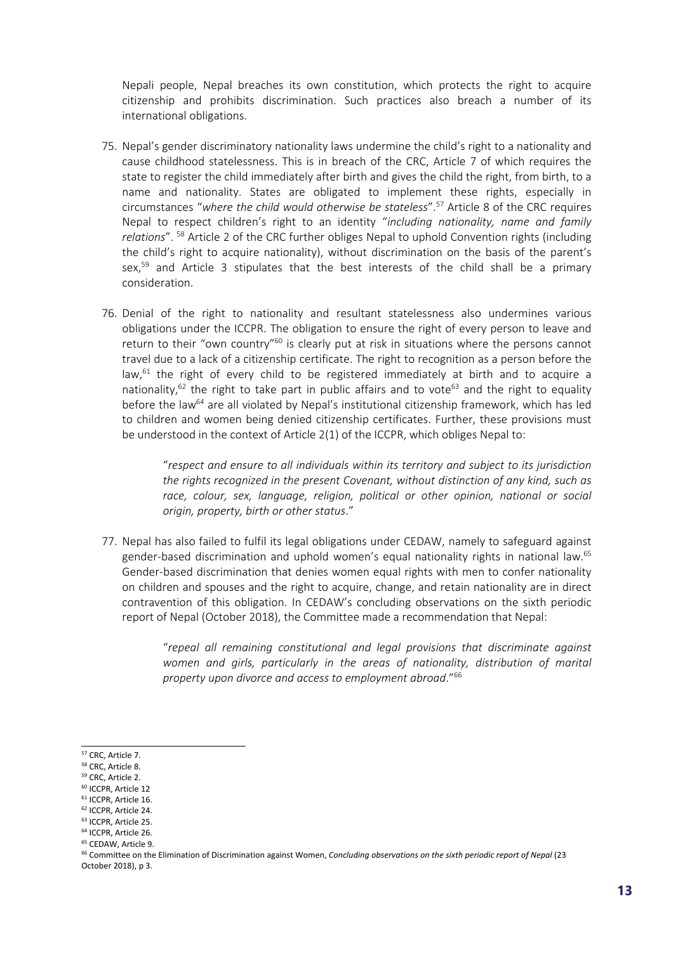Nepali people, Nepal breaches its own constitution, which protects the right to acquire citizenship and prohibits discrimination. Such practices also breach <sup>a</sup> number of its international obligations.

- 75. Nepal'<sup>s</sup> gender discriminatory nationality laws undermine the child'<sup>s</sup> right to <sup>a</sup> nationality and cause childhood statelessness. This is in breach of the CRC, Article 7 of which requires the state to register the child immediately after birth and gives the child the right, from birth, to <sup>a</sup> name and nationality. States are obligated to implement these rights, especially in circumstances "*where the child would otherwise be stateless*". 57 Article 8 of the CRC requires Nepal to respect children'<sup>s</sup> right to an identity "*including nationality, name and family relations*". 58 Article 2 of the CRC further obliges Nepal to uphold Convention rights (including the child'<sup>s</sup> right to acquire nationality), without discrimination on the basis of the parent'<sup>s</sup> sex, 59 and Article 3 stipulates that the best interests of the child shall be <sup>a</sup> primary consideration.
- 76. Denial of the right to nationality and resultant statelessness also undermines various obligations under the ICCPR. The obligation to ensure the right of every person to leave and return to their "own country"<sup>60</sup> is clearly put at risk in situations where the persons cannot travel due to <sup>a</sup> lack of <sup>a</sup> citizenship certificate. The right to recognition as <sup>a</sup> person before the law,<sup>61</sup> the right of every child to be registered immediately at birth and to acquire a nationality,<sup>62</sup> the right to take part in public affairs and to vote<sup>63</sup> and the right to equality before the law<sup>64</sup> are all violated by Nepal's institutional citizenship framework, which has led to children and women being denied citizenship certificates. Further, these provisions must be understood in the context of Article 2(1) of the ICCPR, which obliges Nepal to:

"*respect and ensure to all individuals within its territory and subject to its jurisdiction the rights recognized in the present Covenant, without distinction of any kind, such as race, colour, sex, language, religion, political or other opinion, national or social origin, property, birth or other status*."

77. Nepal has also failed to fulfil its legal obligations under CEDAW, namely to safeguard against gender-based discrimination and uphold women'<sup>s</sup> equal nationality rights in national law. 65 Gender-based discrimination that denies women equal rights with men to confer nationality on children and spouses and the right to acquire, change, and retain nationality are in direct contravention of this obligation. In CEDAW'<sup>s</sup> concluding observations on the sixth periodic report of Nepal (October 2018), the Committee made <sup>a</sup> recommendation that Nepal:

> "*repeal all remaining constitutional and legal provisions that discriminate against women and girls, particularly in the areas of nationality, distribution of marital property upon divorce and access to employment abroad*." 66

60 ICCPR, Article 12

- 64 ICCPR, Article 26.
- <sup>65</sup> CEDAW, Article 9.

<sup>&</sup>lt;sup>57</sup> CRC, Article 7.

<sup>&</sup>lt;sup>58</sup> CRC, Article 8.

<sup>&</sup>lt;sup>59</sup> CRC, Article 2.

<sup>&</sup>lt;sup>61</sup> ICCPR, Article 16.

<sup>&</sup>lt;sup>62</sup> ICCPR, Article 24.

<sup>63</sup> ICCPR, Article 25.

<sup>66</sup> Committee on the Elimination of Discrimination against Women, *Concluding observations on the sixth periodic report of Nepal* (23 October 2018), p 3.